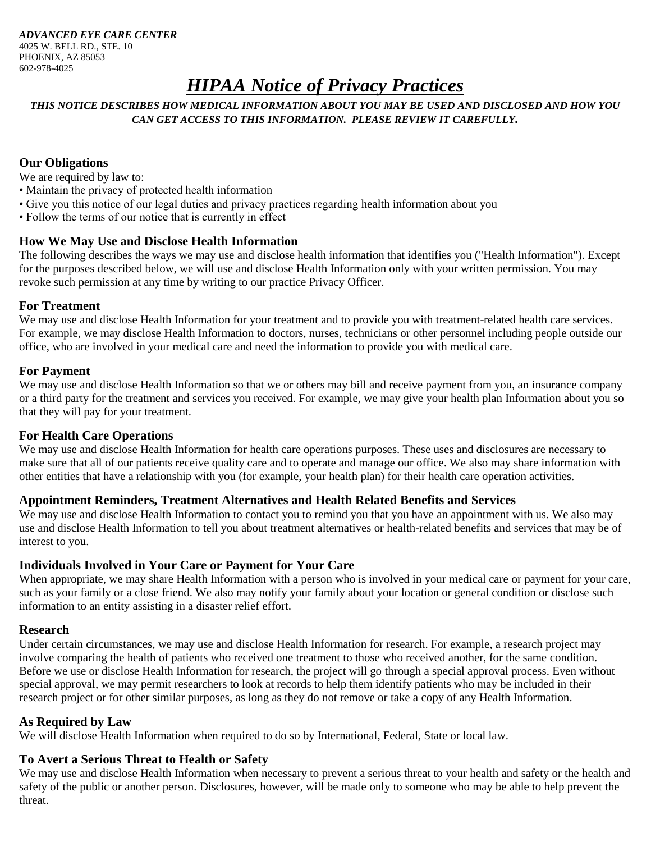# *HIPAA Notice of Privacy Practices*

*THIS NOTICE DESCRIBES HOW MEDICAL INFORMATION ABOUT YOU MAY BE USED AND DISCLOSED AND HOW YOU CAN GET ACCESS TO THIS INFORMATION. PLEASE REVIEW IT CAREFULLY.*

# **Our Obligations**

We are required by law to:

- Maintain the privacy of protected health information
- Give you this notice of our legal duties and privacy practices regarding health information about you
- Follow the terms of our notice that is currently in effect

## **How We May Use and Disclose Health Information**

The following describes the ways we may use and disclose health information that identifies you ("Health Information"). Except for the purposes described below, we will use and disclose Health Information only with your written permission. You may revoke such permission at any time by writing to our practice Privacy Officer.

#### **For Treatment**

We may use and disclose Health Information for your treatment and to provide you with treatment-related health care services. For example, we may disclose Health Information to doctors, nurses, technicians or other personnel including people outside our office, who are involved in your medical care and need the information to provide you with medical care.

## **For Payment**

We may use and disclose Health Information so that we or others may bill and receive payment from you, an insurance company or a third party for the treatment and services you received. For example, we may give your health plan Information about you so that they will pay for your treatment.

# **For Health Care Operations**

We may use and disclose Health Information for health care operations purposes. These uses and disclosures are necessary to make sure that all of our patients receive quality care and to operate and manage our office. We also may share information with other entities that have a relationship with you (for example, your health plan) for their health care operation activities.

# **Appointment Reminders, Treatment Alternatives and Health Related Benefits and Services**

We may use and disclose Health Information to contact you to remind you that you have an appointment with us. We also may use and disclose Health Information to tell you about treatment alternatives or health-related benefits and services that may be of interest to you.

#### **Individuals Involved in Your Care or Payment for Your Care**

When appropriate, we may share Health Information with a person who is involved in your medical care or payment for your care, such as your family or a close friend. We also may notify your family about your location or general condition or disclose such information to an entity assisting in a disaster relief effort.

#### **Research**

Under certain circumstances, we may use and disclose Health Information for research. For example, a research project may involve comparing the health of patients who received one treatment to those who received another, for the same condition. Before we use or disclose Health Information for research, the project will go through a special approval process. Even without special approval, we may permit researchers to look at records to help them identify patients who may be included in their research project or for other similar purposes, as long as they do not remove or take a copy of any Health Information.

#### **As Required by Law**

We will disclose Health Information when required to do so by International, Federal, State or local law.

# **To Avert a Serious Threat to Health or Safety**

We may use and disclose Health Information when necessary to prevent a serious threat to your health and safety or the health and safety of the public or another person. Disclosures, however, will be made only to someone who may be able to help prevent the threat.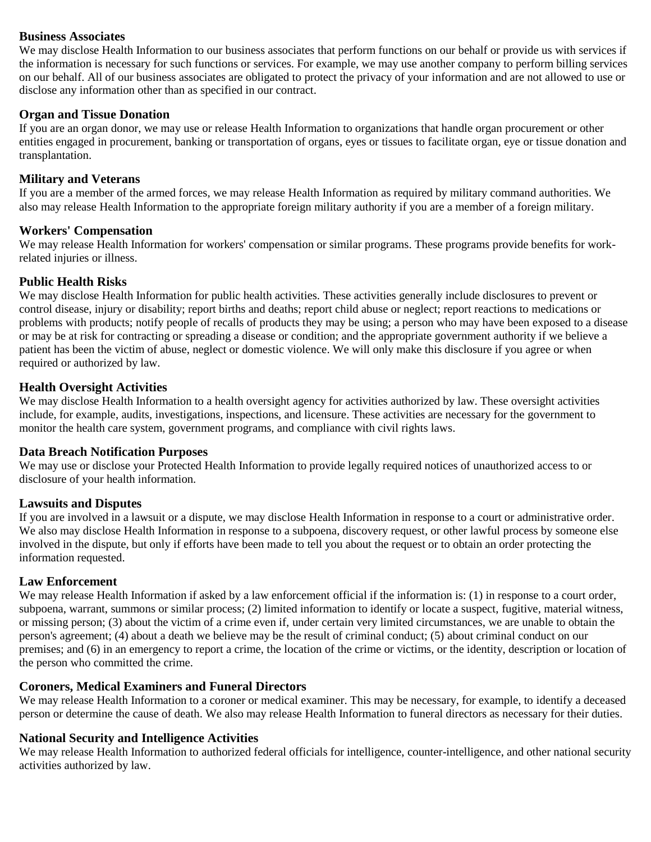## **Business Associates**

We may disclose Health Information to our business associates that perform functions on our behalf or provide us with services if the information is necessary for such functions or services. For example, we may use another company to perform billing services on our behalf. All of our business associates are obligated to protect the privacy of your information and are not allowed to use or disclose any information other than as specified in our contract.

## **Organ and Tissue Donation**

If you are an organ donor, we may use or release Health Information to organizations that handle organ procurement or other entities engaged in procurement, banking or transportation of organs, eyes or tissues to facilitate organ, eye or tissue donation and transplantation.

## **Military and Veterans**

If you are a member of the armed forces, we may release Health Information as required by military command authorities. We also may release Health Information to the appropriate foreign military authority if you are a member of a foreign military.

## **Workers' Compensation**

We may release Health Information for workers' compensation or similar programs. These programs provide benefits for workrelated injuries or illness.

## **Public Health Risks**

We may disclose Health Information for public health activities. These activities generally include disclosures to prevent or control disease, injury or disability; report births and deaths; report child abuse or neglect; report reactions to medications or problems with products; notify people of recalls of products they may be using; a person who may have been exposed to a disease or may be at risk for contracting or spreading a disease or condition; and the appropriate government authority if we believe a patient has been the victim of abuse, neglect or domestic violence. We will only make this disclosure if you agree or when required or authorized by law.

## **Health Oversight Activities**

We may disclose Health Information to a health oversight agency for activities authorized by law. These oversight activities include, for example, audits, investigations, inspections, and licensure. These activities are necessary for the government to monitor the health care system, government programs, and compliance with civil rights laws.

#### **Data Breach Notification Purposes**

We may use or disclose your Protected Health Information to provide legally required notices of unauthorized access to or disclosure of your health information.

# **Lawsuits and Disputes**

If you are involved in a lawsuit or a dispute, we may disclose Health Information in response to a court or administrative order. We also may disclose Health Information in response to a subpoena, discovery request, or other lawful process by someone else involved in the dispute, but only if efforts have been made to tell you about the request or to obtain an order protecting the information requested.

#### **Law Enforcement**

We may release Health Information if asked by a law enforcement official if the information is: (1) in response to a court order, subpoena, warrant, summons or similar process; (2) limited information to identify or locate a suspect, fugitive, material witness, or missing person; (3) about the victim of a crime even if, under certain very limited circumstances, we are unable to obtain the person's agreement; (4) about a death we believe may be the result of criminal conduct; (5) about criminal conduct on our premises; and (6) in an emergency to report a crime, the location of the crime or victims, or the identity, description or location of the person who committed the crime.

# **Coroners, Medical Examiners and Funeral Directors**

We may release Health Information to a coroner or medical examiner. This may be necessary, for example, to identify a deceased person or determine the cause of death. We also may release Health Information to funeral directors as necessary for their duties.

#### **National Security and Intelligence Activities**

We may release Health Information to authorized federal officials for intelligence, counter-intelligence, and other national security activities authorized by law.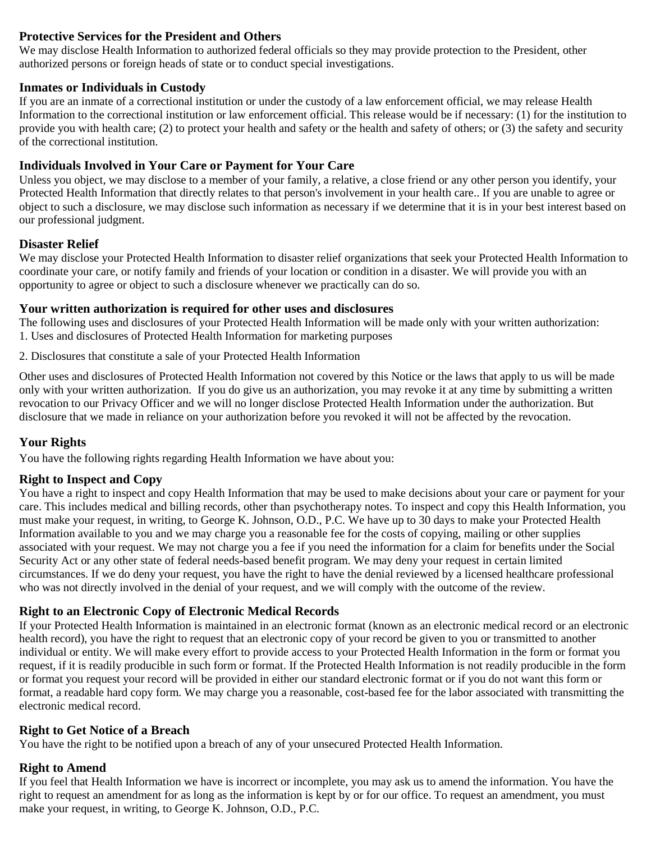# **Protective Services for the President and Others**

We may disclose Health Information to authorized federal officials so they may provide protection to the President, other authorized persons or foreign heads of state or to conduct special investigations.

## **Inmates or Individuals in Custody**

If you are an inmate of a correctional institution or under the custody of a law enforcement official, we may release Health Information to the correctional institution or law enforcement official. This release would be if necessary: (1) for the institution to provide you with health care; (2) to protect your health and safety or the health and safety of others; or (3) the safety and security of the correctional institution.

# **Individuals Involved in Your Care or Payment for Your Care**

Unless you object, we may disclose to a member of your family, a relative, a close friend or any other person you identify, your Protected Health Information that directly relates to that person's involvement in your health care.. If you are unable to agree or object to such a disclosure, we may disclose such information as necessary if we determine that it is in your best interest based on our professional judgment.

# **Disaster Relief**

We may disclose your Protected Health Information to disaster relief organizations that seek your Protected Health Information to coordinate your care, or notify family and friends of your location or condition in a disaster. We will provide you with an opportunity to agree or object to such a disclosure whenever we practically can do so.

## **Your written authorization is required for other uses and disclosures**

The following uses and disclosures of your Protected Health Information will be made only with your written authorization: 1. Uses and disclosures of Protected Health Information for marketing purposes

2. Disclosures that constitute a sale of your Protected Health Information

Other uses and disclosures of Protected Health Information not covered by this Notice or the laws that apply to us will be made only with your written authorization. If you do give us an authorization, you may revoke it at any time by submitting a written revocation to our Privacy Officer and we will no longer disclose Protected Health Information under the authorization. But disclosure that we made in reliance on your authorization before you revoked it will not be affected by the revocation.

# **Your Rights**

You have the following rights regarding Health Information we have about you:

# **Right to Inspect and Copy**

You have a right to inspect and copy Health Information that may be used to make decisions about your care or payment for your care. This includes medical and billing records, other than psychotherapy notes. To inspect and copy this Health Information, you must make your request, in writing, to George K. Johnson, O.D., P.C. We have up to 30 days to make your Protected Health Information available to you and we may charge you a reasonable fee for the costs of copying, mailing or other supplies associated with your request. We may not charge you a fee if you need the information for a claim for benefits under the Social Security Act or any other state of federal needs-based benefit program. We may deny your request in certain limited circumstances. If we do deny your request, you have the right to have the denial reviewed by a licensed healthcare professional who was not directly involved in the denial of your request, and we will comply with the outcome of the review.

# **Right to an Electronic Copy of Electronic Medical Records**

If your Protected Health Information is maintained in an electronic format (known as an electronic medical record or an electronic health record), you have the right to request that an electronic copy of your record be given to you or transmitted to another individual or entity. We will make every effort to provide access to your Protected Health Information in the form or format you request, if it is readily producible in such form or format. If the Protected Health Information is not readily producible in the form or format you request your record will be provided in either our standard electronic format or if you do not want this form or format, a readable hard copy form. We may charge you a reasonable, cost-based fee for the labor associated with transmitting the electronic medical record.

# **Right to Get Notice of a Breach**

You have the right to be notified upon a breach of any of your unsecured Protected Health Information.

# **Right to Amend**

If you feel that Health Information we have is incorrect or incomplete, you may ask us to amend the information. You have the right to request an amendment for as long as the information is kept by or for our office. To request an amendment, you must make your request, in writing, to George K. Johnson, O.D., P.C.